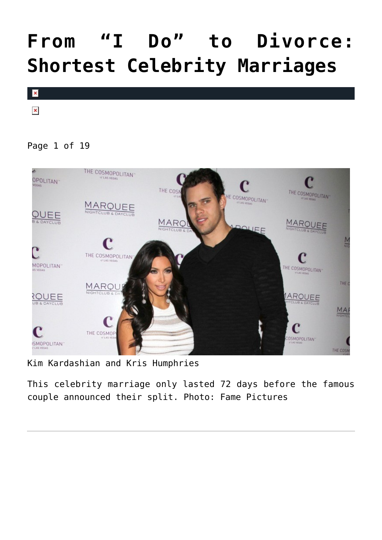# **[From "I Do" to Divorce:](https://cupidspulse.com/94732/shortest-celebrity-marriages/) [Shortest Celebrity Marriages](https://cupidspulse.com/94732/shortest-celebrity-marriages/)**



 $\pmb{\times}$ 

### Page 1 of 19



Kim Kardashian and Kris Humphries

This celebrity marriage only lasted 72 days before the famous couple announced their split. Photo: Fame Pictures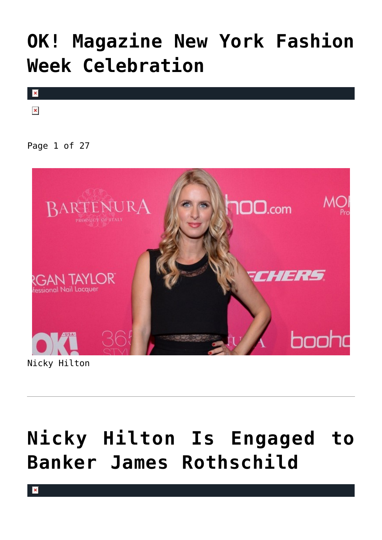# **[OK! Magazine New York Fashion](https://cupidspulse.com/80522/ok-magazine-new-york-fashion-week-celebration/) [Week Celebration](https://cupidspulse.com/80522/ok-magazine-new-york-fashion-week-celebration/)**



 $\pmb{\times}$ 

### Page 1 of 27



Nicky Hilton

# **[Nicky Hilton Is Engaged to](https://cupidspulse.com/79370/nicky-hilton-is-engaged-to-banker-james-rothschild/) [Banker James Rothschild](https://cupidspulse.com/79370/nicky-hilton-is-engaged-to-banker-james-rothschild/)**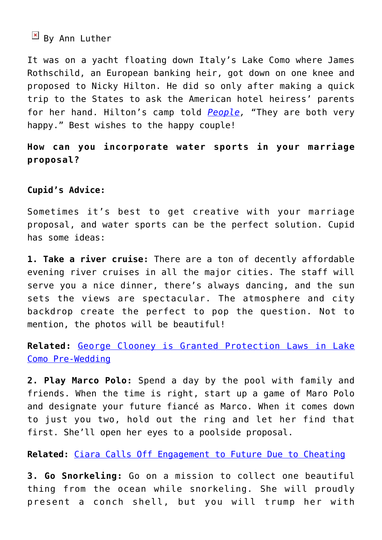## $\boxed{\times}$  By Ann Luther

It was on a yacht floating down Italy's Lake Como where James Rothschild, an European banking heir, got down on one knee and proposed to Nicky Hilton. He did so only after making a quick trip to the States to ask the American hotel heiress' parents for her hand. Hilton's camp told *[People](http://www.people.com/article/nicky-hilton-engaged-james-rothschild),* "They are both very happy." Best wishes to the happy couple!

**How can you incorporate water sports in your marriage proposal?**

### **Cupid's Advice:**

Sometimes it's best to get creative with your marriage proposal, and water sports can be the perfect solution. Cupid has some ideas:

**1. Take a river cruise:** There are a ton of decently affordable evening river cruises in all the major cities. The staff will serve you a nice dinner, there's always dancing, and the sun sets the views are spectacular. The atmosphere and city backdrop create the perfect to pop the question. Not to mention, the photos will be beautiful!

**Related:** [George Clooney is Granted Protection Laws in Lake](http://cupidspulse.com/george-clooney-protection-laws-pre-wedding/) [Como Pre-Wedding](http://cupidspulse.com/george-clooney-protection-laws-pre-wedding/)

**2. Play Marco Polo:** Spend a day by the pool with family and friends. When the time is right, start up a game of Maro Polo and designate your future fiancé as Marco. When it comes down to just you two, hold out the ring and let her find that first. She'll open her eyes to a poolside proposal.

**Related:** [Ciara Calls Off Engagement to Future Due to Cheating](http://cupidspulse.com/ciara-engagement-future-cheating/)

**3. Go Snorkeling:** Go on a mission to collect one beautiful thing from the ocean while snorkeling. She will proudly present a conch shell, but you will trump her with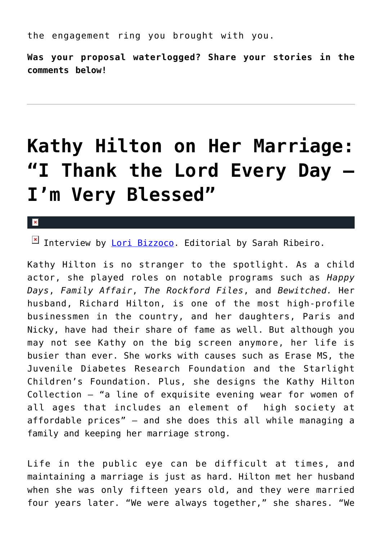the engagement ring you brought with you.

**Was your proposal waterlogged? Share your stories in the comments below!**

## **[Kathy Hilton on Her Marriage:](https://cupidspulse.com/56341/kathy-hilton-marriage-family/) ["I Thank the Lord Every Day —](https://cupidspulse.com/56341/kathy-hilton-marriage-family/) [I'm Very Blessed"](https://cupidspulse.com/56341/kathy-hilton-marriage-family/)**

 $\vert \mathbf{x} \vert$ 

Interview by [Lori Bizzoco](http://cupidspulse.com/104596/lori-bizzoco/). Editorial by Sarah Ribeiro.

Kathy Hilton is no stranger to the spotlight. As a child actor, she played roles on notable programs such as *Happy Days*, *Family Affair*, *The Rockford Files*, and *Bewitched.* Her husband, Richard Hilton, is one of the most high-profile businessmen in the country, and her daughters, Paris and Nicky, have had their share of fame as well. But although you may not see Kathy on the big screen anymore, her life is busier than ever. She works with causes such as Erase MS, the Juvenile Diabetes Research Foundation and the Starlight Children's Foundation. Plus, she designs the Kathy Hilton Collection — "a line of exquisite evening wear for women of all ages that includes an element of high society at affordable prices" — and she does this all while managing a family and keeping her marriage strong.

Life in the public eye can be difficult at times, and maintaining a marriage is just as hard. Hilton met her husband when she was only fifteen years old, and they were married four years later. "We were always together," she shares. "We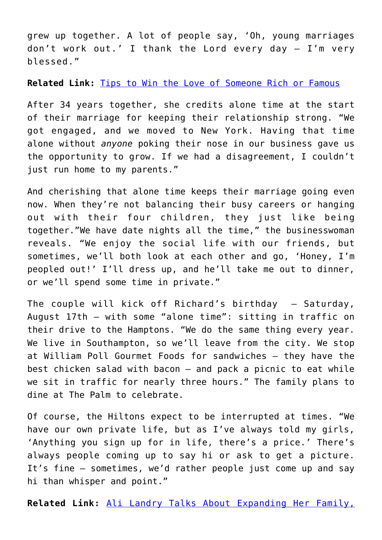grew up together. A lot of people say, 'Oh, young marriages don't work out.' I thank the Lord every day — I'm very blessed."

**Related Link:** [Tips to Win the Love of Someone Rich or Famous](http://cupidspulse.com/7-tips-win-love-of-rich-or-famous/)

After 34 years together, she credits alone time at the start of their marriage for keeping their relationship strong. "We got engaged, and we moved to New York. Having that time alone without *anyone* poking their nose in our business gave us the opportunity to grow. If we had a disagreement, I couldn't just run home to my parents."

And cherishing that alone time keeps their marriage going even now. When they're not balancing their busy careers or hanging out with their four children, they just like being together."We have date nights all the time," the businesswoman reveals. "We enjoy the social life with our friends, but sometimes, we'll both look at each other and go, 'Honey, I'm peopled out!' I'll dress up, and he'll take me out to dinner, or we'll spend some time in private."

The couple will kick off Richard's birthday — Saturday, August 17th — with some "alone time": sitting in traffic on their drive to the Hamptons. "We do the same thing every year. We live in Southampton, so we'll leave from the city. We stop at William Poll Gourmet Foods for sandwiches — they have the best chicken salad with bacon — and pack a picnic to eat while we sit in traffic for nearly three hours." The family plans to dine at The Palm to celebrate.

Of course, the Hiltons expect to be interrupted at times. "We have our own private life, but as I've always told my girls, 'Anything you sign up for in life, there's a price.' There's always people coming up to say hi or ask to get a picture. It's fine — sometimes, we'd rather people just come up and say hi than whisper and point."

**Related Link:** [Ali Landry Talks About Expanding Her Family,](http://cupidspulse.com/ali-landry-palmers-family-marriage/)